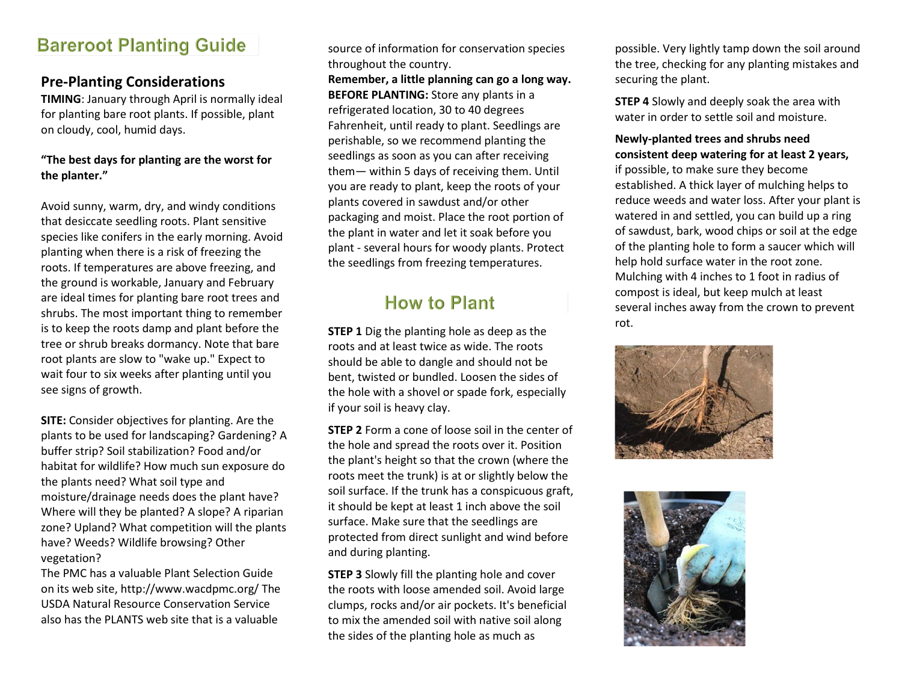## **Bareroot Planting Guide**

### **Pre-Planting Considerations**

**TIMING**: January through April is normally ideal for planting bare root plants. If possible, plant on cloudy, cool, humid days.

#### **"The best days for planting are the worst for the planter."**

Avoid sunny, warm, dry, and windy conditions that desiccate seedling roots. Plant sensitive species like conifers in the early morning. Avoid planting when there is a risk of freezing the roots. If temperatures are above freezing, and the ground is workable, January and February are ideal times for planting bare root trees and shrubs. The most important thing to remember is to keep the roots damp and plant before the tree or shrub breaks dormancy. Note that bare root plants are slow to "wake up." Expect to wait four to six weeks after planting until you see signs of growth.

**SITE:** Consider objectives for planting. Are the plants to be used for landscaping? Gardening? A buffer strip? Soil stabilization? Food and/or habitat for wildlife? How much sun exposure do the plants need? What soil type and moisture/drainage needs does the plant have? Where will they be planted? A slope? A riparian zone? Upland? What competition will the plants have? Weeds? Wildlife browsing? Other vegetation?

The PMC has a valuable Plant Selection Guide on its web site, http://www.wacdpmc.org/ The USDA Natural Resource Conservation Service also has the PLANTS web site that is a valuable

source of information for conservation species throughout the country.

**Remember, a little planning can go a long way. BEFORE PLANTING:** Store any plants in a refrigerated location, 30 to 40 degrees Fahrenheit, until ready to plant. Seedlings are perishable, so we recommend planting the seedlings as soon as you can after receiving them— within 5 days of receiving them. Until you are ready to plant, keep the roots of your plants covered in sawdust and/or other packaging and moist. Place the root portion of the plant in water and let it soak before you plant - several hours for woody plants. Protect the seedlings from freezing temperatures.

## **How to Plant**

**STEP 1** Dig the planting hole as deep as the roots and at least twice as wide. The roots should be able to dangle and should not be bent, twisted or bundled. Loosen the sides of the hole with a shovel or spade fork, especially if your soil is heavy clay.

**STEP 2** Form a cone of loose soil in the center of the hole and spread the roots over it. Position the plant's height so that the crown (where the roots meet the trunk) is at or slightly below the soil surface. If the trunk has a conspicuous graft, it should be kept at least 1 inch above the soil surface. Make sure that the seedlings are protected from direct sunlight and wind before and during planting.

**STEP 3** Slowly fill the planting hole and cover the roots with loose amended soil. Avoid large clumps, rocks and/or air pockets. It's beneficial to mix the amended soil with native soil along the sides of the planting hole as much as

possible. Very lightly tamp down the soil around the tree, checking for any planting mistakes and securing the plant.

**STEP 4** Slowly and deeply soak the area with water in order to settle soil and moisture.

#### **Newly-planted trees and shrubs need consistent deep watering for at least 2 years,**

if possible, to make sure they become established. A thick layer of mulching helps to reduce weeds and water loss. After your plant is watered in and settled, you can build up a ring of sawdust, bark, wood chips or soil at the edge of the planting hole to form a saucer which will help hold surface water in the root zone. Mulching with 4 inches to 1 foot in radius of compost is ideal, but keep mulch at least several inches away from the crown to prevent rot.